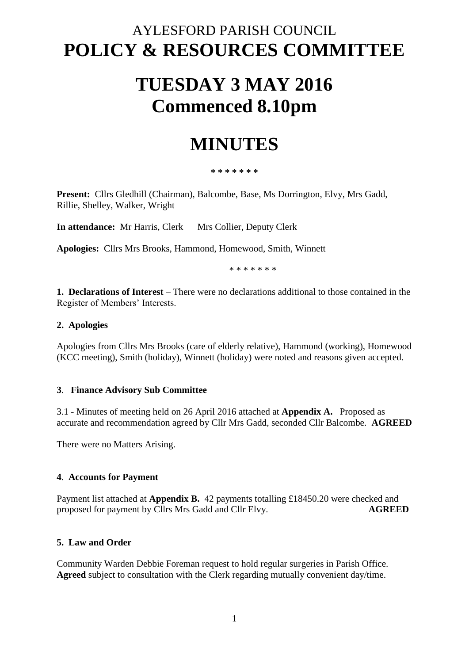### AYLESFORD PARISH COUNCIL **POLICY & RESOURCES COMMITTEE**

# **TUESDAY 3 MAY 2016 Commenced 8.10pm**

## **MINUTES**

**\* \* \* \* \* \* \***

**Present:** Cllrs Gledhill (Chairman), Balcombe, Base, Ms Dorrington, Elvy, Mrs Gadd, Rillie, Shelley, Walker, Wright

**In attendance:** Mr Harris, Clerk Mrs Collier, Deputy Clerk

**Apologies:** Cllrs Mrs Brooks, Hammond, Homewood, Smith, Winnett

\* \* \* \* \* \* \*

**1. Declarations of Interest** – There were no declarations additional to those contained in the Register of Members' Interests.

#### **2. Apologies**

Apologies from Cllrs Mrs Brooks (care of elderly relative), Hammond (working), Homewood (KCC meeting), Smith (holiday), Winnett (holiday) were noted and reasons given accepted.

#### **3**. **Finance Advisory Sub Committee**

3.1 - Minutes of meeting held on 26 April 2016 attached at **Appendix A.** Proposed as accurate and recommendation agreed by Cllr Mrs Gadd, seconded Cllr Balcombe. **AGREED**

There were no Matters Arising.

#### **4**. **Accounts for Payment**

Payment list attached at **Appendix B.** 42 payments totalling £18450.20 were checked and proposed for payment by Cllrs Mrs Gadd and Cllr Elvy. **AGREED** 

#### **5. Law and Order**

Community Warden Debbie Foreman request to hold regular surgeries in Parish Office. **Agreed** subject to consultation with the Clerk regarding mutually convenient day/time.